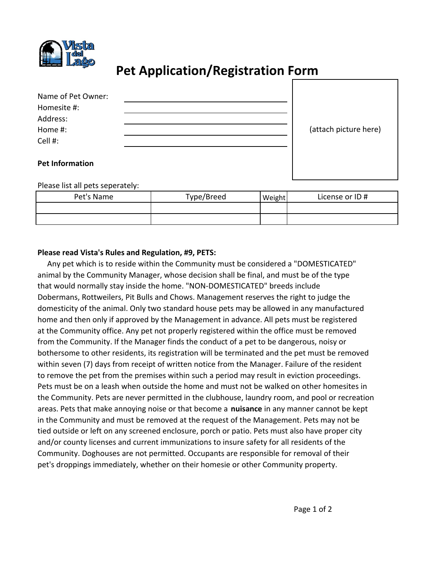

## **Pet Application/Registration Form**

| Name of Pet Owner: |  |
|--------------------|--|
| Homesite #:        |  |
| Address:           |  |
| Home #:            |  |
| Cell #:            |  |
|                    |  |

(attach picture here)

## **Pet Information**

Please list all pets seperately:

| Pet's Name | Type/Breed | Weight <sub>1</sub> | License or ID# |
|------------|------------|---------------------|----------------|
|            |            |                     |                |
|            |            |                     |                |

## **Please read Vista's Rules and Regulation, #9, PETS:**

 Any pet which is to reside within the Community must be considered a "DOMESTICATED" animal by the Community Manager, whose decision shall be final, and must be of the type that would normally stay inside the home. "NON‐DOMESTICATED" breeds include Dobermans, Rottweilers, Pit Bulls and Chows. Management reserves the right to judge the domesticity of the animal. Only two standard house pets may be allowed in any manufactured home and then only if approved by the Management in advance. All pets must be registered at the Community office. Any pet not properly registered within the office must be removed from the Community. If the Manager finds the conduct of a pet to be dangerous, noisy or bothersome to other residents, its registration will be terminated and the pet must be removed within seven (7) days from receipt of written notice from the Manager. Failure of the resident to remove the pet from the premises within such a period may result in eviction proceedings. Pets must be on a leash when outside the home and must not be walked on other homesites in the Community. Pets are never permitted in the clubhouse, laundry room, and pool or recreation areas. Pets that make annoying noise or that become a **nuisance** in any manner cannot be kept in the Community and must be removed at the request of the Management. Pets may not be tied outside or left on any screened enclosure, porch or patio. Pets must also have proper city and/or county licenses and current immunizations to insure safety for all residents of the Community. Doghouses are not permitted. Occupants are responsible for removal of their pet's droppings immediately, whether on their homesie or other Community property.